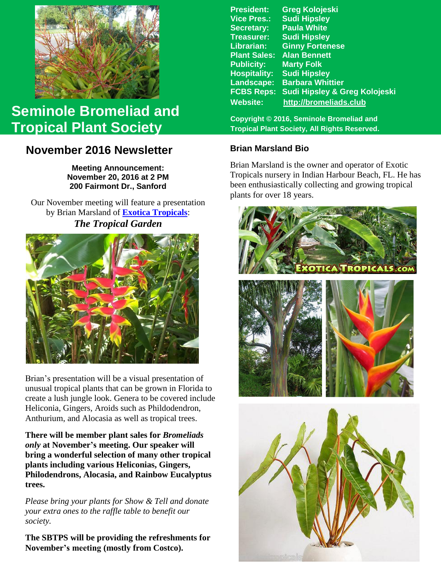

# **Seminole Bromeliad and Tropical Plant Society**

## **November 2016 Newsletter**

**Meeting Announcement: November 20, 2016 at 2 PM 200 Fairmont Dr., Sanford**

Our November meeting will feature a presentation by Brian Marsland of **[Exotica Tropicals](http://www.exoticatropicals.com/)**: *The Tropical Garden*



 create a lush jungle look. Genera to be covered include Brian's presentation will be a visual presentation of unusual tropical plants that can be grown in Florida to Heliconia, Gingers, Aroids such as Phildodendron, Anthurium, and Alocasia as well as tropical trees.

**There will be member plant sales for** *Bromeliads only* **at November's meeting. Our speaker will bring a wonderful selection of many other tropical plants including various Heliconias, Gingers, Philodendrons, Alocasia, and Rainbow Eucalyptus trees.**

*Please bring your plants for Show & Tell and donate your extra ones to the raffle table to benefit our society.*

**The SBTPS will be providing the refreshments for November's meeting (mostly from Costco).**

**President: Greg Kolojeski Vice Pres.: Sudi Hipsley Secretary: Paula White Treasurer: Sudi Hipsley Librarian: Ginny Fortenese Plant Sales: Alan Bennett Marty Folk Hospitality: Sudi Hipsley Landscape: Barbara Whittier FCBS Reps: Sudi Hipsley & Greg Kolojeski Website: [http://bromeliads.club](http://bromeliads.club/)**

**Copyright © 2016, Seminole Bromeliad and Tropical Plant Society, All Rights Reserved.**

### **Brian Marsland Bio**

Brian Marsland is the owner and operator of Exotic Tropicals nursery in Indian Harbour Beach, FL. He has been enthusiastically collecting and growing tropical plants for over 18 years.